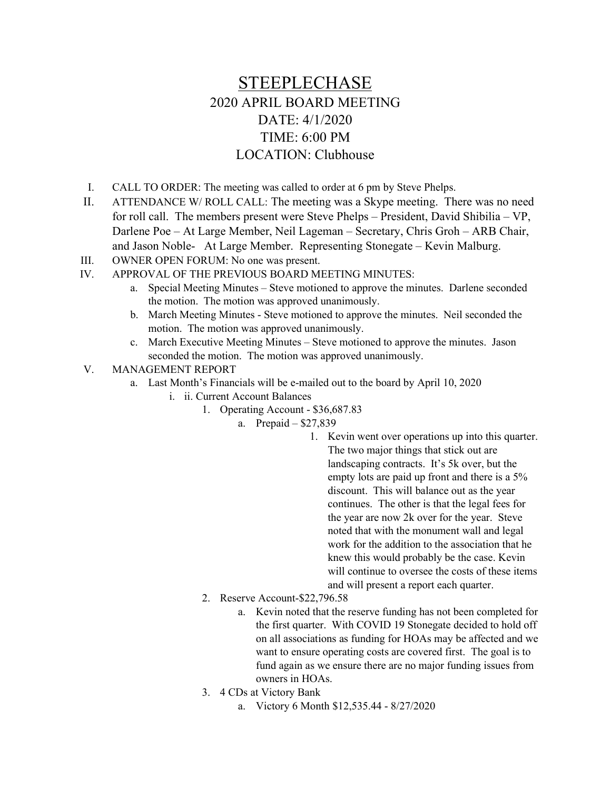## STEEPLECHASE 2020 APRIL BOARD MEETING DATE: 4/1/2020 TIME: 6:00 PM LOCATION: Clubhouse

- I. CALL TO ORDER: The meeting was called to order at 6 pm by Steve Phelps.
- II. ATTENDANCE W/ ROLL CALL: The meeting was a Skype meeting. There was no need for roll call. The members present were Steve Phelps – President, David Shibilia – VP, Darlene Poe – At Large Member, Neil Lageman – Secretary, Chris Groh – ARB Chair, and Jason Noble- At Large Member. Representing Stonegate – Kevin Malburg.
- III. OWNER OPEN FORUM: No one was present.
- IV. APPROVAL OF THE PREVIOUS BOARD MEETING MINUTES:
	- a. Special Meeting Minutes Steve motioned to approve the minutes. Darlene seconded the motion. The motion was approved unanimously.
	- b. March Meeting Minutes Steve motioned to approve the minutes. Neil seconded the motion. The motion was approved unanimously.
	- c. March Executive Meeting Minutes Steve motioned to approve the minutes. Jason seconded the motion. The motion was approved unanimously.
- V. MANAGEMENT REPORT
	- a. Last Month's Financials will be e-mailed out to the board by April 10, 2020
		- i. ii. Current Account Balances
			- 1. Operating Account \$36,687.83
				- a. Prepaid \$27,839
					- 1. Kevin went over operations up into this quarter. The two major things that stick out are landscaping contracts. It's 5k over, but the empty lots are paid up front and there is a 5% discount. This will balance out as the year continues. The other is that the legal fees for the year are now 2k over for the year. Steve noted that with the monument wall and legal work for the addition to the association that he knew this would probably be the case. Kevin will continue to oversee the costs of these items and will present a report each quarter.
			- 2. Reserve Account-\$22,796.58
				- a. Kevin noted that the reserve funding has not been completed for the first quarter. With COVID 19 Stonegate decided to hold off on all associations as funding for HOAs may be affected and we want to ensure operating costs are covered first. The goal is to fund again as we ensure there are no major funding issues from owners in HOAs.
			- 3. 4 CDs at Victory Bank
				- a. Victory 6 Month \$12,535.44 8/27/2020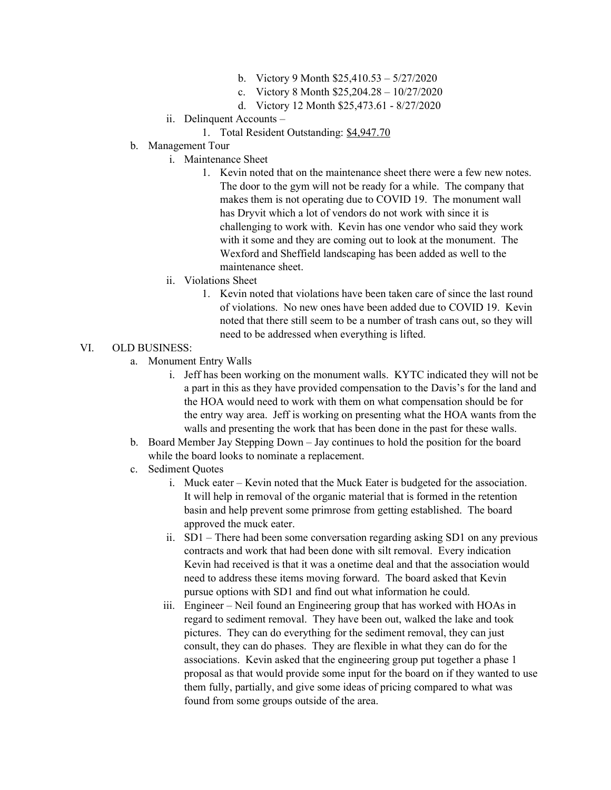- b. Victory 9 Month \$25,410.53 5/27/2020
- c. Victory 8 Month \$25,204.28 10/27/2020
- d. Victory 12 Month \$25,473.61 8/27/2020
- ii. Delinquent Accounts
	- 1. Total Resident Outstanding: \$4,947.70
- b. Management Tour
	- i. Maintenance Sheet
		- 1. Kevin noted that on the maintenance sheet there were a few new notes. The door to the gym will not be ready for a while. The company that makes them is not operating due to COVID 19. The monument wall has Dryvit which a lot of vendors do not work with since it is challenging to work with. Kevin has one vendor who said they work with it some and they are coming out to look at the monument. The Wexford and Sheffield landscaping has been added as well to the maintenance sheet.
	- ii. Violations Sheet
		- 1. Kevin noted that violations have been taken care of since the last round of violations. No new ones have been added due to COVID 19. Kevin noted that there still seem to be a number of trash cans out, so they will need to be addressed when everything is lifted.
- VI. OLD BUSINESS:
	- a. Monument Entry Walls
		- i. Jeff has been working on the monument walls. KYTC indicated they will not be a part in this as they have provided compensation to the Davis's for the land and the HOA would need to work with them on what compensation should be for the entry way area. Jeff is working on presenting what the HOA wants from the walls and presenting the work that has been done in the past for these walls.
	- b. Board Member Jay Stepping Down Jay continues to hold the position for the board while the board looks to nominate a replacement.
	- c. Sediment Quotes
		- i. Muck eater Kevin noted that the Muck Eater is budgeted for the association. It will help in removal of the organic material that is formed in the retention basin and help prevent some primrose from getting established. The board approved the muck eater.
		- ii. SD1 There had been some conversation regarding asking SD1 on any previous contracts and work that had been done with silt removal. Every indication Kevin had received is that it was a onetime deal and that the association would need to address these items moving forward. The board asked that Kevin pursue options with SD1 and find out what information he could.
		- iii. Engineer Neil found an Engineering group that has worked with HOAs in regard to sediment removal. They have been out, walked the lake and took pictures. They can do everything for the sediment removal, they can just consult, they can do phases. They are flexible in what they can do for the associations. Kevin asked that the engineering group put together a phase 1 proposal as that would provide some input for the board on if they wanted to use them fully, partially, and give some ideas of pricing compared to what was found from some groups outside of the area.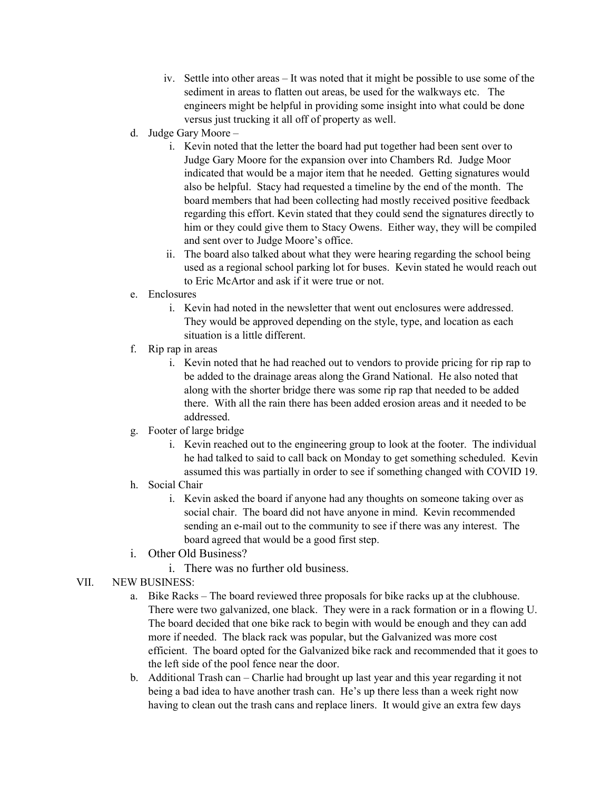- iv. Settle into other areas It was noted that it might be possible to use some of the sediment in areas to flatten out areas, be used for the walkways etc. The engineers might be helpful in providing some insight into what could be done versus just trucking it all off of property as well.
- d. Judge Gary Moore
	- i. Kevin noted that the letter the board had put together had been sent over to Judge Gary Moore for the expansion over into Chambers Rd. Judge Moor indicated that would be a major item that he needed. Getting signatures would also be helpful. Stacy had requested a timeline by the end of the month. The board members that had been collecting had mostly received positive feedback regarding this effort. Kevin stated that they could send the signatures directly to him or they could give them to Stacy Owens. Either way, they will be compiled and sent over to Judge Moore's office.
	- ii. The board also talked about what they were hearing regarding the school being used as a regional school parking lot for buses. Kevin stated he would reach out to Eric McArtor and ask if it were true or not.
- e. Enclosures
	- i. Kevin had noted in the newsletter that went out enclosures were addressed. They would be approved depending on the style, type, and location as each situation is a little different.
- f. Rip rap in areas
	- i. Kevin noted that he had reached out to vendors to provide pricing for rip rap to be added to the drainage areas along the Grand National. He also noted that along with the shorter bridge there was some rip rap that needed to be added there. With all the rain there has been added erosion areas and it needed to be addressed.
- g. Footer of large bridge
	- i. Kevin reached out to the engineering group to look at the footer. The individual he had talked to said to call back on Monday to get something scheduled. Kevin assumed this was partially in order to see if something changed with COVID 19.
- h. Social Chair
	- i. Kevin asked the board if anyone had any thoughts on someone taking over as social chair. The board did not have anyone in mind. Kevin recommended sending an e-mail out to the community to see if there was any interest. The board agreed that would be a good first step.
- i. Other Old Business?
	- i. There was no further old business.

## VII. NEW BUSINESS:

- a. Bike Racks The board reviewed three proposals for bike racks up at the clubhouse. There were two galvanized, one black. They were in a rack formation or in a flowing U. The board decided that one bike rack to begin with would be enough and they can add more if needed. The black rack was popular, but the Galvanized was more cost efficient. The board opted for the Galvanized bike rack and recommended that it goes to the left side of the pool fence near the door.
- b. Additional Trash can Charlie had brought up last year and this year regarding it not being a bad idea to have another trash can. He's up there less than a week right now having to clean out the trash cans and replace liners. It would give an extra few days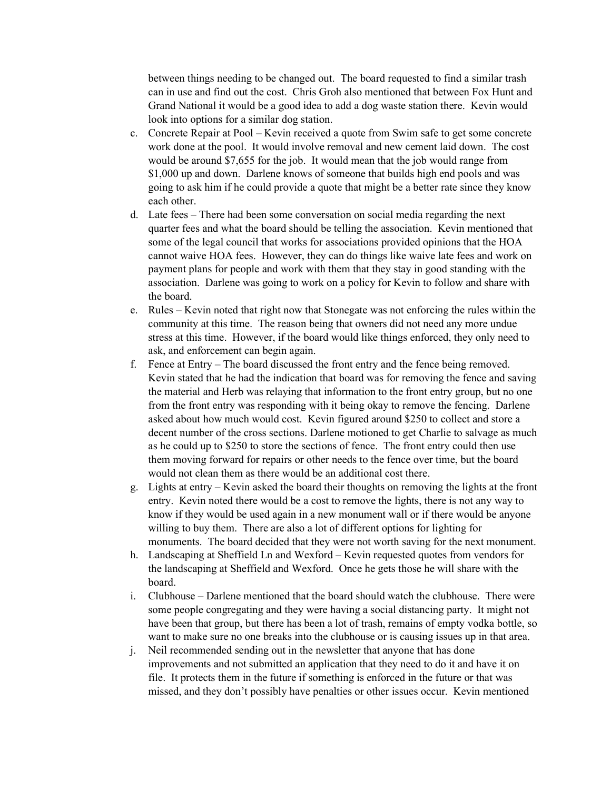between things needing to be changed out. The board requested to find a similar trash can in use and find out the cost. Chris Groh also mentioned that between Fox Hunt and Grand National it would be a good idea to add a dog waste station there. Kevin would look into options for a similar dog station.

- c. Concrete Repair at Pool Kevin received a quote from Swim safe to get some concrete work done at the pool. It would involve removal and new cement laid down. The cost would be around \$7,655 for the job. It would mean that the job would range from \$1,000 up and down. Darlene knows of someone that builds high end pools and was going to ask him if he could provide a quote that might be a better rate since they know each other.
- d. Late fees There had been some conversation on social media regarding the next quarter fees and what the board should be telling the association. Kevin mentioned that some of the legal council that works for associations provided opinions that the HOA cannot waive HOA fees. However, they can do things like waive late fees and work on payment plans for people and work with them that they stay in good standing with the association. Darlene was going to work on a policy for Kevin to follow and share with the board.
- e. Rules Kevin noted that right now that Stonegate was not enforcing the rules within the community at this time. The reason being that owners did not need any more undue stress at this time. However, if the board would like things enforced, they only need to ask, and enforcement can begin again.
- f. Fence at Entry The board discussed the front entry and the fence being removed. Kevin stated that he had the indication that board was for removing the fence and saving the material and Herb was relaying that information to the front entry group, but no one from the front entry was responding with it being okay to remove the fencing. Darlene asked about how much would cost. Kevin figured around \$250 to collect and store a decent number of the cross sections. Darlene motioned to get Charlie to salvage as much as he could up to \$250 to store the sections of fence. The front entry could then use them moving forward for repairs or other needs to the fence over time, but the board would not clean them as there would be an additional cost there.
- g. Lights at entry Kevin asked the board their thoughts on removing the lights at the front entry. Kevin noted there would be a cost to remove the lights, there is not any way to know if they would be used again in a new monument wall or if there would be anyone willing to buy them. There are also a lot of different options for lighting for monuments. The board decided that they were not worth saving for the next monument.
- h. Landscaping at Sheffield Ln and Wexford Kevin requested quotes from vendors for the landscaping at Sheffield and Wexford. Once he gets those he will share with the board.
- i. Clubhouse Darlene mentioned that the board should watch the clubhouse. There were some people congregating and they were having a social distancing party. It might not have been that group, but there has been a lot of trash, remains of empty vodka bottle, so want to make sure no one breaks into the clubhouse or is causing issues up in that area.
- j. Neil recommended sending out in the newsletter that anyone that has done improvements and not submitted an application that they need to do it and have it on file. It protects them in the future if something is enforced in the future or that was missed, and they don't possibly have penalties or other issues occur. Kevin mentioned